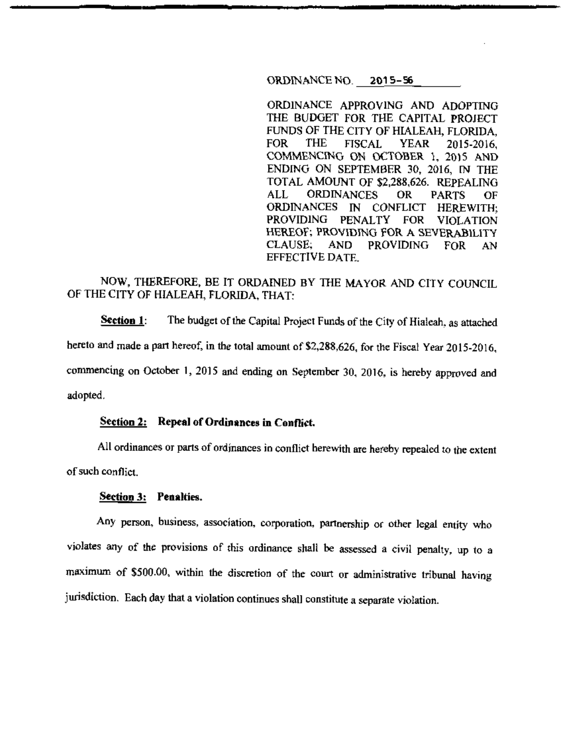### ORDINANCE NQ\_ **2015-56**

ORDINANCE APPROVING AND ADOPTING THE BUDGET FOR THE CAPITAL PROJECT FUNDS OF THE CITY OF HIALEAH, FLORIDA, FOR THE FISCAL YEAR 2015-2016, COMMENCING ON OCTOBER 1, 2015 AND ENDING ON SEPTEMBER 30, 2016, IN THE TOTAL AMOUNT OF \$2,288,626. REPEALING ALL ORDINANCES OR PARTS OF<br>ORDINANCES IN CONFLICT HEREWITH: IN CONFLICT HEREWITH; PROVIDING PENALTY FOR VIOLATION HEREOF; PROVIDING FOR A SEVERABILITY CLAUSE; AND PROVIDING FOR AN EFFECTIVE DATE.

# NOW, THEREFORE, BE IT ORDAINED BY THE MAYOR AND CITY COUNCIL OF THE CITY OF HIALEAH, FLORIDA, THAT:

**Section 1:** The budget of the Capital Project Funds of the City of Hialeah, as attached hereto and made a part hereof, in the total amount of \$2,288,626, for the Fiscal Year 2015-2016, commencing on October **1,** 2015 and ending on September 30, 2016, is hereby approved and adopted.

# **Section 2:** Repeal of Ordinances in Conflict.

All ordinances or parts of ordinances in conflict herewith are hereby repealed to the extent of such conflict.

#### **Section 3: Penalties.**

Any person, business, association, corporation, partnership or other legal entity who violates any of the provisions of this ordinance shall be assessed a civil penalty, up to a maximum of \$500.00, within the discretion of the court or administrative tribunal having jurisdiction. Each day that a violation continues shall constitute a separate violation.